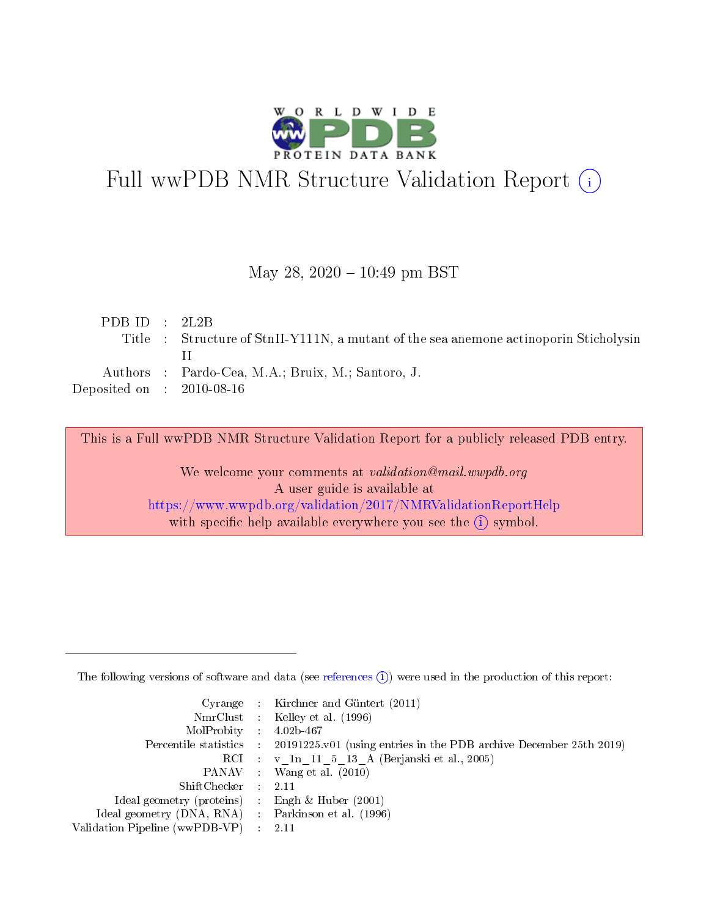

# Full wwPDB NMR Structure Validation Report (i)

# May 28,  $2020 - 10:49$  pm BST

| PDB ID : $2L2B$                     |                                                                                       |
|-------------------------------------|---------------------------------------------------------------------------------------|
|                                     | Title : Structure of StnII-Y111N, a mutant of the sea anemone actinoporin Sticholysin |
|                                     |                                                                                       |
|                                     | Authors : Pardo-Cea, M.A.; Bruix, M.; Santoro, J.                                     |
| Deposited on $\,$ : 2010-08-16 $\,$ |                                                                                       |

This is a Full wwPDB NMR Structure Validation Report for a publicly released PDB entry.

We welcome your comments at *validation@mail.wwpdb.org* A user guide is available at <https://www.wwpdb.org/validation/2017/NMRValidationReportHelp> with specific help available everywhere you see the  $(i)$  symbol.

The following versions of software and data (see [references](https://www.wwpdb.org/validation/2017/NMRValidationReportHelp#references)  $(1)$ ) were used in the production of this report:

|                                                    |                               | Cyrange : Kirchner and Güntert $(2011)$                                |
|----------------------------------------------------|-------------------------------|------------------------------------------------------------------------|
|                                                    |                               | NmrClust : Kelley et al. (1996)                                        |
| $MolProbability$ 4.02b-467                         |                               |                                                                        |
| Percentile statistics :                            |                               | $20191225$ , v01 (using entries in the PDB archive December 25th 2019) |
|                                                    |                               | RCI : v 1n 11 5 13 A (Berjanski et al., 2005)                          |
|                                                    |                               | PANAV : Wang et al. (2010)                                             |
| $ShiftChecker$ :                                   |                               | -2.11                                                                  |
| Ideal geometry (proteins) : Engh $\&$ Huber (2001) |                               |                                                                        |
| Ideal geometry (DNA, RNA) Parkinson et al. (1996)  |                               |                                                                        |
| Validation Pipeline (wwPDB-VP)                     | $\mathcal{A}^{\mathcal{A}}$ . | - 2.11                                                                 |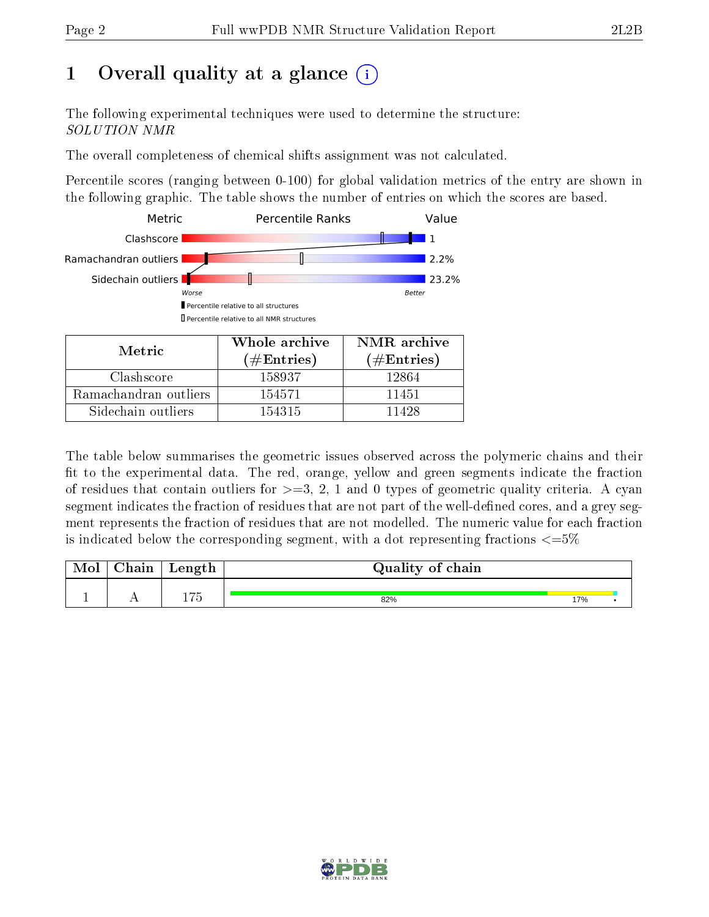# 1 [O](https://www.wwpdb.org/validation/2017/NMRValidationReportHelp#overall_quality)verall quality at a glance (i)

The following experimental techniques were used to determine the structure: SOLUTION NMR

The overall completeness of chemical shifts assignment was not calculated.

Percentile scores (ranging between 0-100) for global validation metrics of the entry are shown in the following graphic. The table shows the number of entries on which the scores are based.



Sidechain outliers 154315 11428

The table below summarises the geometric issues observed across the polymeric chains and their fit to the experimental data. The red, orange, yellow and green segments indicate the fraction of residues that contain outliers for  $>=3, 2, 1$  and 0 types of geometric quality criteria. A cyan segment indicates the fraction of residues that are not part of the well-defined cores, and a grey segment represents the fraction of residues that are not modelled. The numeric value for each fraction is indicated below the corresponding segment, with a dot representing fractions  $\epsilon = 5\%$ 

| Mol | ${\bf Chain}$ | Length     | Quality of chain |     |  |
|-----|---------------|------------|------------------|-----|--|
|     |               |            |                  |     |  |
|     | . .           | エワビ<br>エィつ | 82%              | 17% |  |

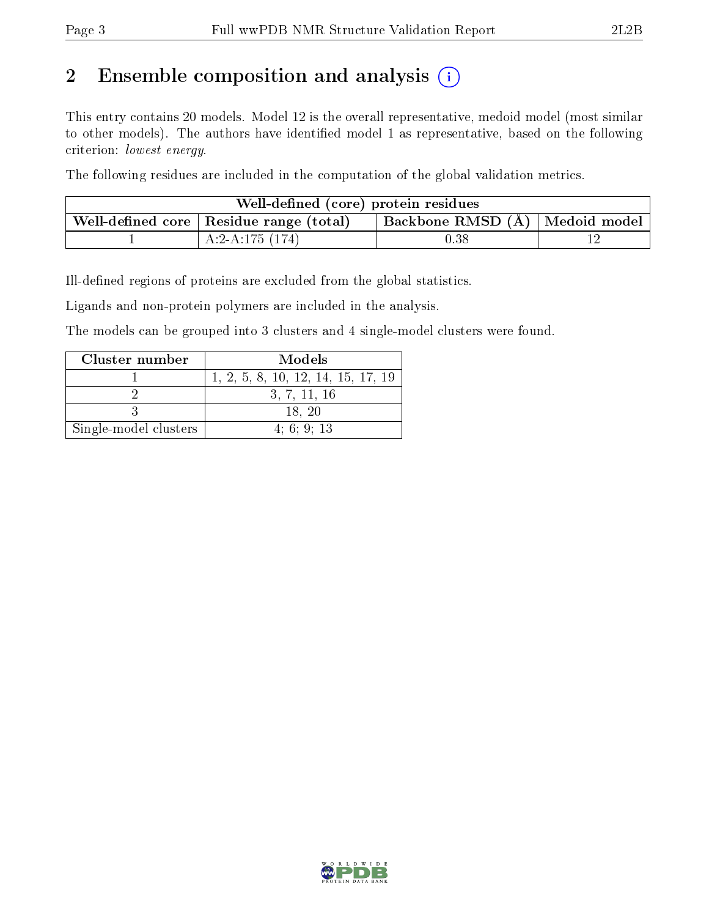# 2 Ensemble composition and analysis  $(i)$

This entry contains 20 models. Model 12 is the overall representative, medoid model (most similar to other models). The authors have identified model 1 as representative, based on the following criterion: lowest energy.

The following residues are included in the computation of the global validation metrics.

| Well-defined (core) protein residues |                                                 |                                  |  |  |  |
|--------------------------------------|-------------------------------------------------|----------------------------------|--|--|--|
|                                      | Well-defined core $\vert$ Residue range (total) | Backbone RMSD (Å)   Medoid model |  |  |  |
|                                      | A:2-A:175 $(174)$                               | $0.38\,$                         |  |  |  |

Ill-defined regions of proteins are excluded from the global statistics.

Ligands and non-protein polymers are included in the analysis.

The models can be grouped into 3 clusters and 4 single-model clusters were found.

| Cluster number        | Models                             |
|-----------------------|------------------------------------|
|                       | 1, 2, 5, 8, 10, 12, 14, 15, 17, 19 |
|                       | 3, 7, 11, 16                       |
|                       | 18.20                              |
| Single-model clusters | 4:6:9:13                           |

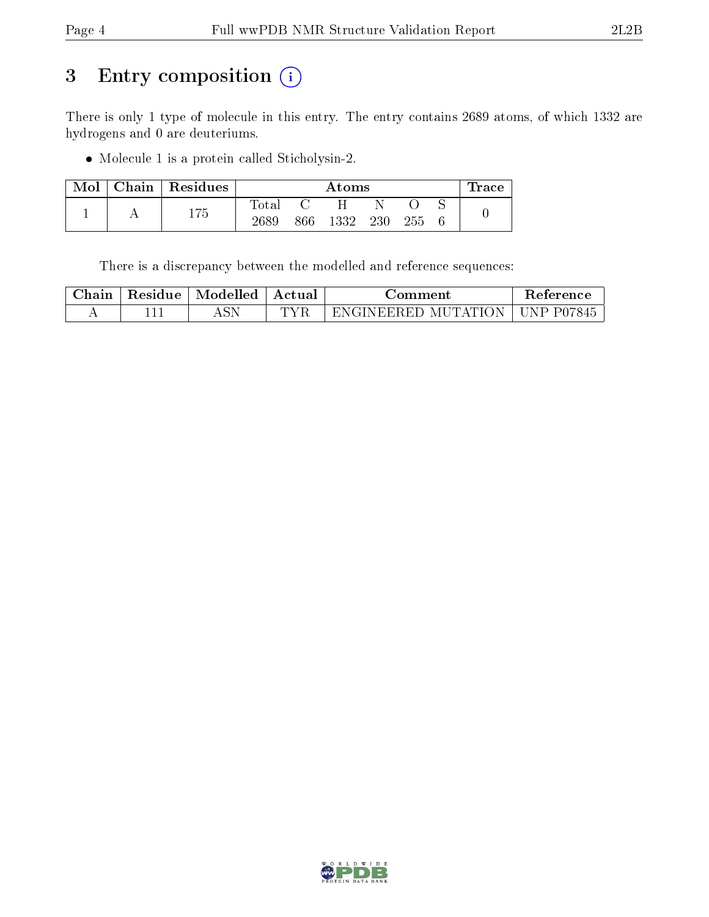# 3 Entry composition (i)

There is only 1 type of molecule in this entry. The entry contains 2689 atoms, of which 1332 are hydrogens and 0 are deuteriums.

Molecule 1 is a protein called Sticholysin-2.

| Mol | $\mid$ Chain $\mid$ Residues |             | Atoms |      |     |     |  | lrace |
|-----|------------------------------|-------------|-------|------|-----|-----|--|-------|
|     | 175                          | $\rm Total$ |       |      |     |     |  |       |
|     |                              | 2689        | 866   | 1332 | 230 | 255 |  |       |

There is a discrepancy between the modelled and reference sequences:

| Chain | Residue | Modelled | Actual | Jomment             | Reference  |
|-------|---------|----------|--------|---------------------|------------|
|       |         |          | TVE    | ENGINEERED MUTATION | UNP P07845 |

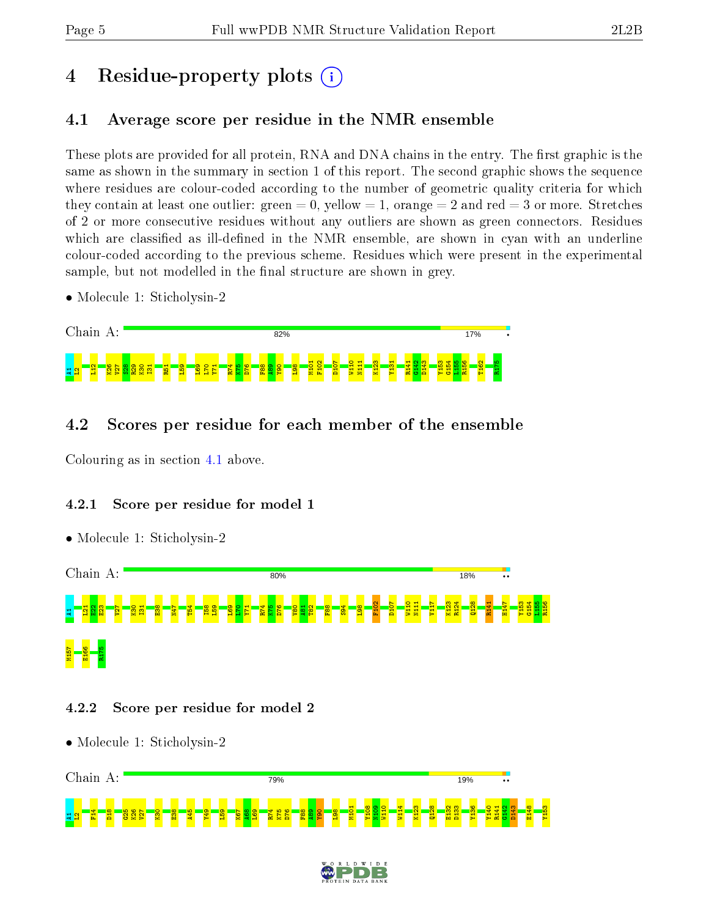# 4 Residue-property plots  $\binom{1}{1}$

# <span id="page-4-0"></span>4.1 Average score per residue in the NMR ensemble

These plots are provided for all protein, RNA and DNA chains in the entry. The first graphic is the same as shown in the summary in section 1 of this report. The second graphic shows the sequence where residues are colour-coded according to the number of geometric quality criteria for which they contain at least one outlier: green  $= 0$ , yellow  $= 1$ , orange  $= 2$  and red  $= 3$  or more. Stretches of 2 or more consecutive residues without any outliers are shown as green connectors. Residues which are classified as ill-defined in the NMR ensemble, are shown in cyan with an underline colour-coded according to the previous scheme. Residues which were present in the experimental sample, but not modelled in the final structure are shown in grey.

• Molecule 1: Sticholysin-2



# 4.2 Scores per residue for each member of the ensemble

Colouring as in section [4.1](#page-4-0) above.

• Molecule 1: Sticholysin-2

# 4.2.1 Score per residue for model 1



# 4.2.2 Score per residue for model 2



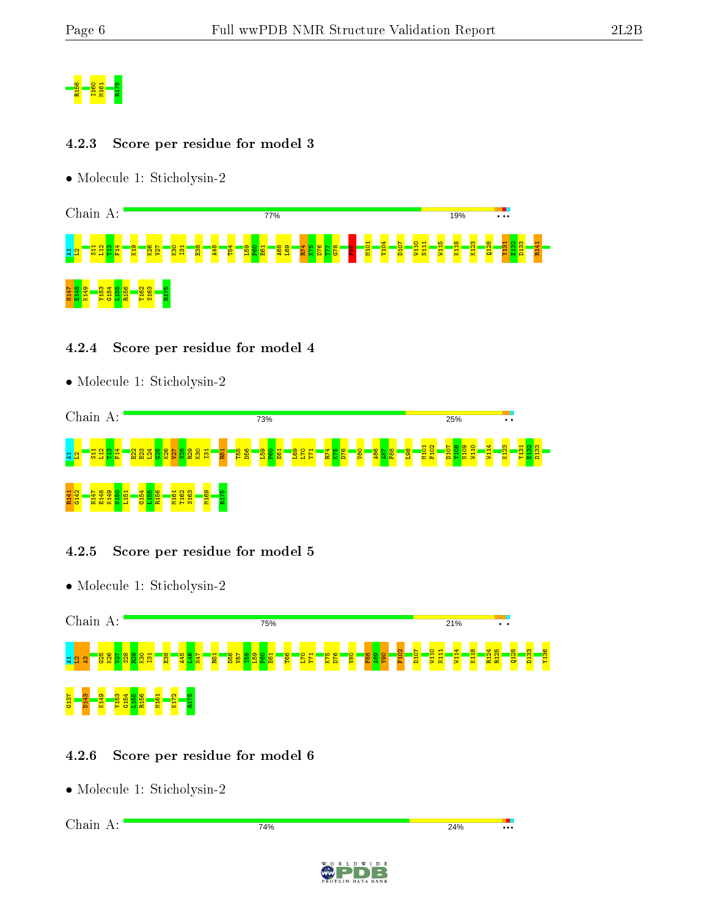

#### 4.2.3 Score per residue for model 3

• Molecule 1: Sticholysin-2



#### 4.2.4 Score per residue for model 4

• Molecule 1: Sticholysin-2



# 4.2.5 Score per residue for model 5

• Molecule 1: Sticholysin-2



# 4.2.6 Score per residue for model 6

```
Chain A:74%
                                                         24%
                                                                   −.
```
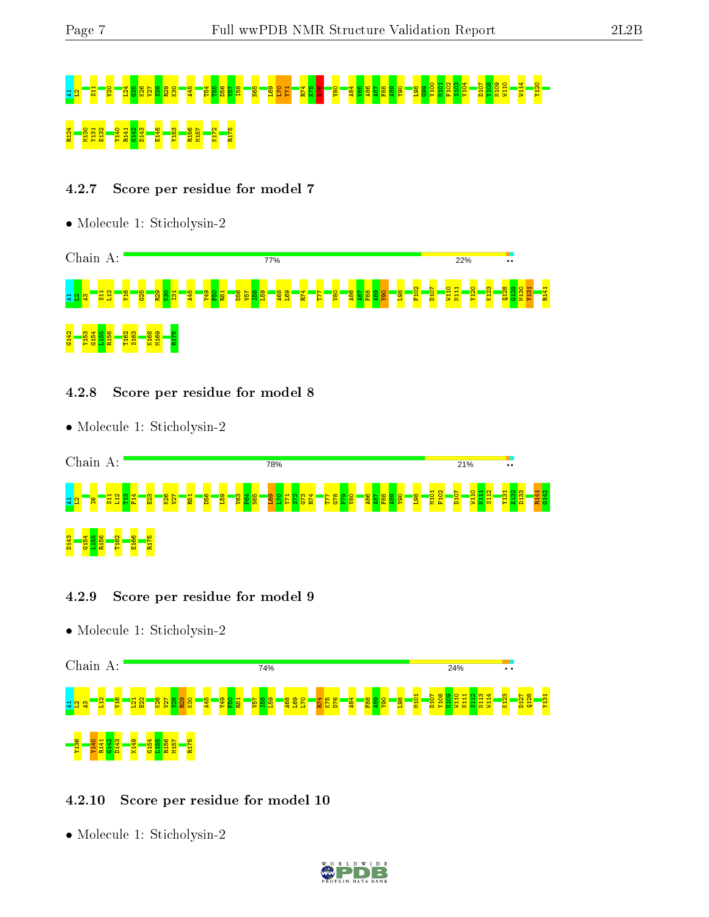# A1L2S11 V20 L24 G25 K26 V27 S28 R29 K30 A45 T54 T55 D56 V57 I58 N65 L69 L70 Y71 R74 K75 D76 V80 A84 V85 A86 A87 F88 A89 Y90 L98 G99 V100 M101 F102 S103 V104 D107 Y108 N109 W110 W114 Y120 R124 M130 Y131 E132 Y140 R141 G142 D143 E148 Y153 R156 M157 K172 R175

# 4.2.7 Score per residue for model 7

• Molecule 1: Sticholysin-2



#### 4.2.8 Score per residue for model 8

• Molecule 1: Sticholysin-2



# 4.2.9 Score per residue for model 9

• Molecule 1: Sticholysin-2



# 4.2.10 Score per residue for model 10

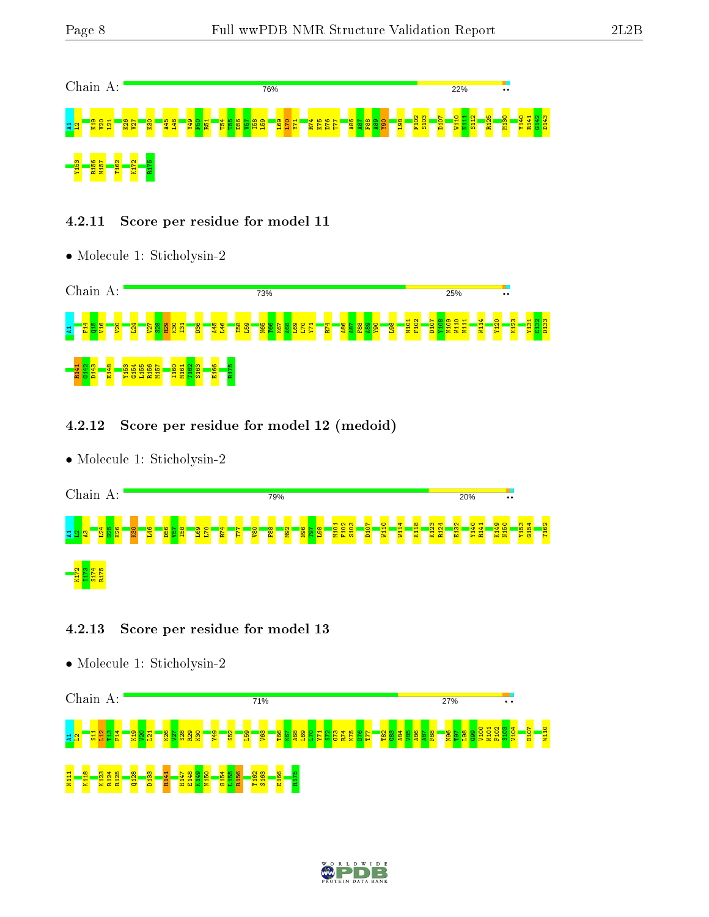

# 4.2.11 Score per residue for model 11

• Molecule 1: Sticholysin-2



# 4.2.12 Score per residue for model 12 (medoid)

• Molecule 1: Sticholysin-2



# 4.2.13 Score per residue for model 13



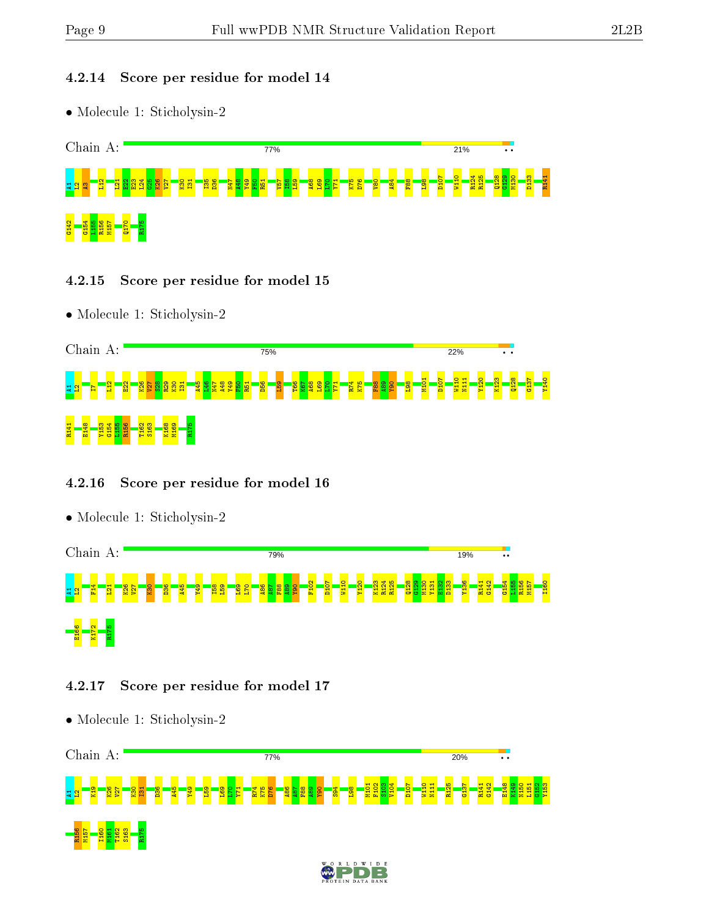# 4.2.14 Score per residue for model 14

• Molecule 1: Sticholysin-2



- 4.2.15 Score per residue for model 15
- Molecule 1: Sticholysin-2



# 4.2.16 Score per residue for model 16



# 4.2.17 Score per residue for model 17

• Molecule 1: Sticholysin-2



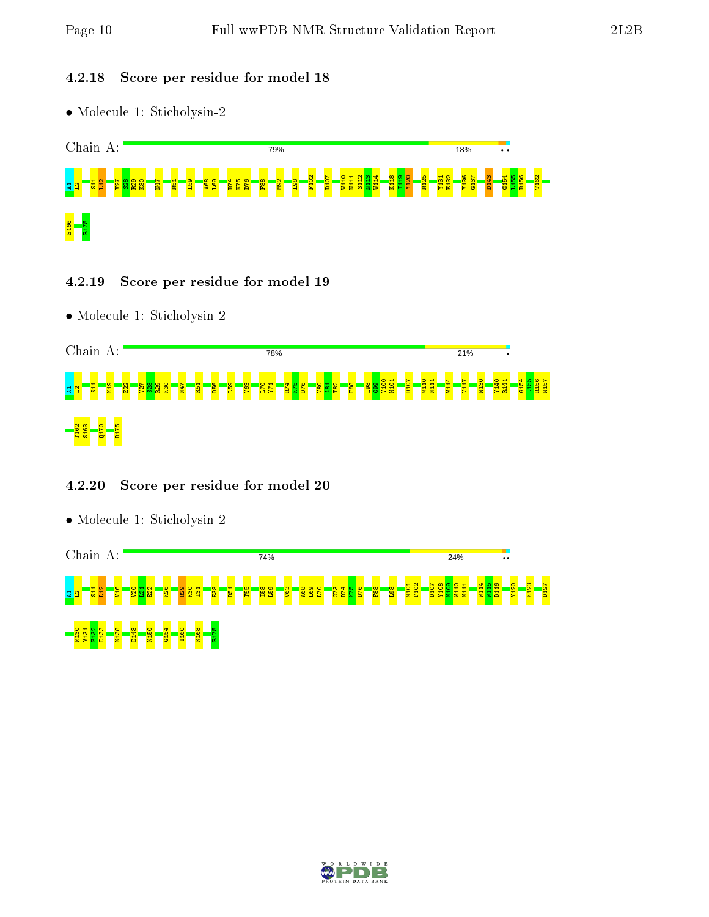#### 4.2.18 Score per residue for model 18

• Molecule 1: Sticholysin-2



#### 4.2.19 Score per residue for model 19

• Molecule 1: Sticholysin-2



# 4.2.20 Score per residue for model 20



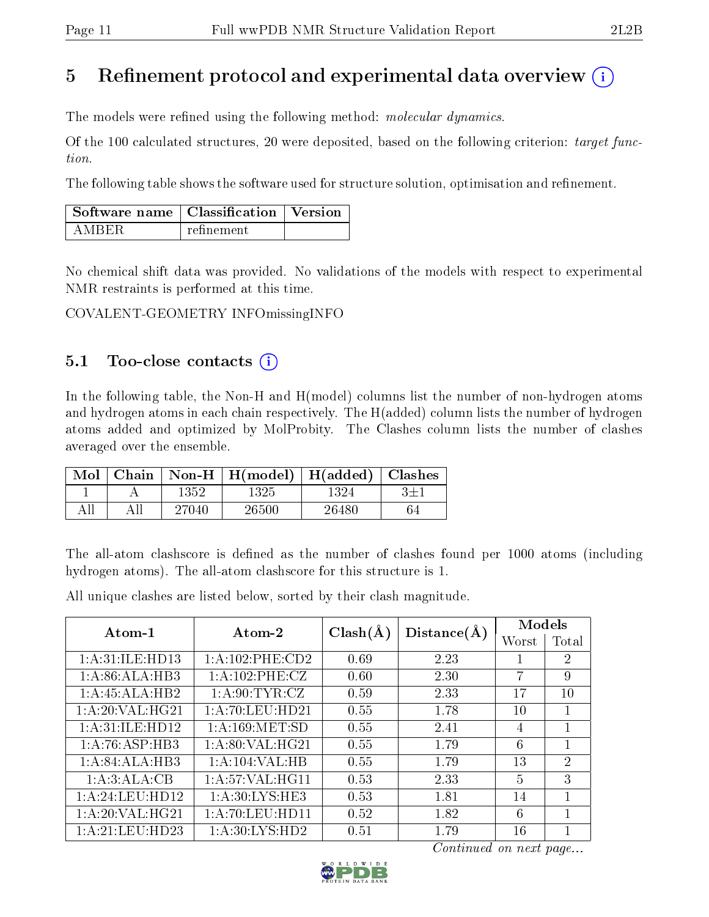# 5 Refinement protocol and experimental data overview  $\binom{1}{k}$

The models were refined using the following method: molecular dynamics.

Of the 100 calculated structures, 20 were deposited, based on the following criterion: target function.

The following table shows the software used for structure solution, optimisation and refinement.

| $\Box$ Software name $\Box$ Classification $\Box$ Version |            |  |
|-----------------------------------------------------------|------------|--|
| A MRER                                                    | refinement |  |

No chemical shift data was provided. No validations of the models with respect to experimental NMR restraints is performed at this time.

COVALENT-GEOMETRY INFOmissingINFO

# 5.1 Too-close contacts  $(i)$

In the following table, the Non-H and H(model) columns list the number of non-hydrogen atoms and hydrogen atoms in each chain respectively. The H(added) column lists the number of hydrogen atoms added and optimized by MolProbity. The Clashes column lists the number of clashes averaged over the ensemble.

| Mol | Chain |       | $\mid$ Non-H $\mid$ H(model) $\mid$ H(added) $\mid$ Clashes |       |  |
|-----|-------|-------|-------------------------------------------------------------|-------|--|
|     |       | 1352  | 1325                                                        | 1324  |  |
|     |       | 27040 | 26500                                                       | 26480 |  |

The all-atom clashscore is defined as the number of clashes found per 1000 atoms (including hydrogen atoms). The all-atom clashscore for this structure is 1.

All unique clashes are listed below, sorted by their clash magnitude.

| Atom-1             | Atom-2              | $Clash(\AA)$ | Distance(A) | Models         |                |  |
|--------------------|---------------------|--------------|-------------|----------------|----------------|--|
|                    |                     |              |             | Worst          | Total          |  |
| 1: A:31: ILE: HD13 | 1: A: 102: PHE: CD2 | 0.69         | 2.23        |                | 2              |  |
| 1: A:86: ALA:HB3   | 1: A:102: PHE: CZ   | 0.60         | 2.30        | 7              | 9              |  |
| 1:A:45:ALA:HB2     | 1: A:90: TYR: CZ    | 0.59         | 2.33        | 17             | 10             |  |
| 1:A:20:VAL:HG21    | 1: A:70: LEU:HD21   | 0.55         | 1.78        | 10             |                |  |
| 1: A:31: ILE: HD12 | 1: A:169:MET:SD     | 0.55         | 2.41        | 4              | 1              |  |
| 1: A:76: ASP:HB3   | 1: A:80: VAL:HG21   | 0.55         | 1.79        | 6              |                |  |
| 1:A:84:ALA:HB3     | 1:A:104:VAL:HB      | 0.55         | 1.79        | 13             | $\overline{2}$ |  |
| 1:A:3:ALA:CB       | 1: A:57: VAL:HGI1   | 0.53         | 2.33        | $\overline{5}$ | 3              |  |
| 1: A:24:LEU:HD12   | 1: A:30: LYS: HE3   | 0.53         | 1.81        | 14             | 1              |  |
| 1:A:20:VAL:HG21    | 1: A:70: LEU: HD11  | 0.52         | 1.82        | 6              | 1              |  |
| 1: A:21: LEU:HD23  | 1:A:30:LYS:HD2      | 0.51         | 1.79        | 16             |                |  |

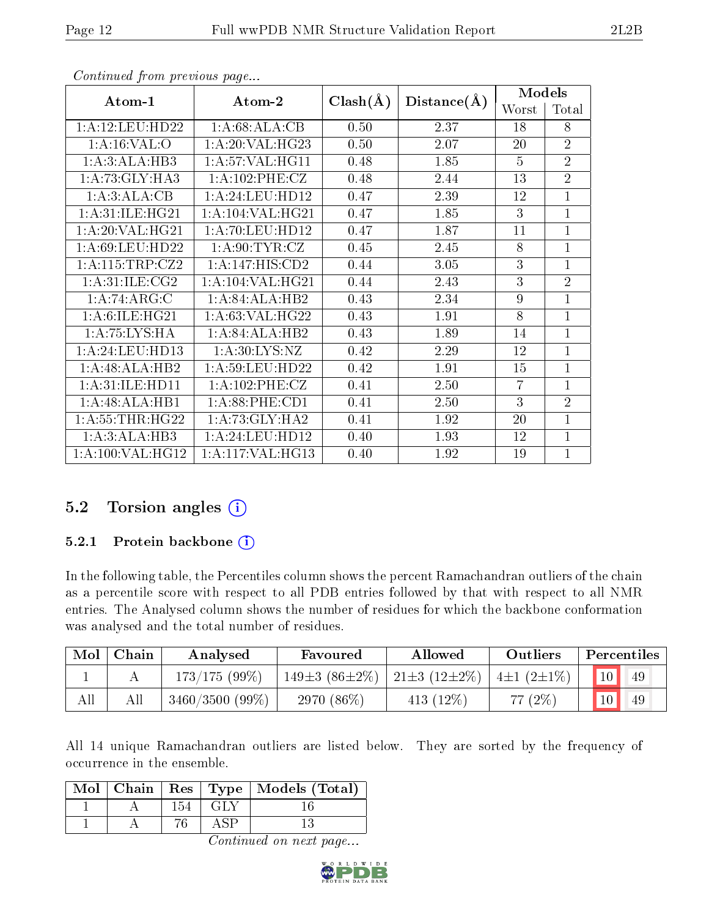| Atom-1                         | Atom-2                       |              |             | <b>Models</b>  |                |  |
|--------------------------------|------------------------------|--------------|-------------|----------------|----------------|--|
|                                |                              | $Clash(\AA)$ | Distance(A) | Worst          | Total          |  |
| 1: A:12: LEU: HD22             | 1:A:68:ALA:CB                | 0.50         | 2.37        | 18             | 8              |  |
| 1: A:16: VAL:O                 | 1:A:20:VAL:HG23              | 0.50         | 2.07        | 20             | $\overline{2}$ |  |
| 1:A:3:ALA:HB3                  | 1: A:57: VAL:HGI1            | 0.48         | 1.85        | $\overline{5}$ | $\overline{2}$ |  |
| 1:A:73:GLY:HA3                 | 1: A: 102: PHE: CZ           | 0.48         | 2.44        | 13             | $\overline{2}$ |  |
| 1:A:3:ALA:CB                   | 1:A:24:LEU:HD12              | 0.47         | 2.39        | 12             | $\mathbf{1}$   |  |
| $1: A:31: ILE:H\overline{G21}$ | 1: A: 104: VAL: HG21         | 0.47         | 1.85        | 3              | $\mathbf{1}$   |  |
| 1: A:20: VAL:HG21              | 1: A:70: LEU: HD12           | 0.47         | 1.87        | 11             | $\mathbf{1}$   |  |
| 1: A:69: LEU: HD22             | 1: A:90: TYR: CZ             | 0.45         | 2.45        | 8              | $\mathbf{1}$   |  |
| 1: A:115:TRP: CZ2              | $1:A:147:HIS:\overline{CD2}$ | 0.44         | 3.05        | 3              | $\mathbf{1}$   |  |
| 1: A:31: ILE: CG2              | 1: A: 104: VAL: HG21         | 0.44         | 2.43        | 3              | $\overline{2}$ |  |
| 1:A:74:ARG:C                   | 1:A:84:ALA:HB2               | 0.43         | 2.34        | 9              | $\mathbf{1}$   |  |
| 1: A:6: ILE: HG21              | 1: A:63: VAL:HG22            | 0.43         | 1.91        | 8              | $\mathbf{1}$   |  |
| 1: A:75: LYS: HA               | 1:A:84:ALA:HB2               | 0.43         | 1.89        | 14             | $\mathbf{1}$   |  |
| 1: A:24:LEU:HD13               | 1: A:30: LYS: NZ             | 0.42         | 2.29        | 12             | $\mathbf{1}$   |  |
| 1:A:48:ALA:HB2                 | 1: A:59: LEU: HD22           | 0.42         | 1.91        | 15             | 1              |  |
| 1: A:31: ILE: HD11             | 1: A: 102: PHE: CZ           | 0.41         | 2.50        | 7              | 1              |  |
| 1:A:48:ALA:HB1                 | $1: A:88:$ PHE: $CD1$        | 0.41         | 2.50        | 3              | $\overline{2}$ |  |
| 1: A: 55: THR: HG22            | 1: A:73: GLY:HA2             | 0.41         | 1.92        | 20             | $\mathbf{1}$   |  |
| 1:A:3:ALA:HB3                  | 1: A:24:LEU:HD12             | 0.40         | 1.93        | 12             | 1              |  |
| 1: A:100: VAL:HG12             | 1: A:117: VAL:HG13           | 0.40         | 1.92        | 19             | 1              |  |

# $5.2$  Torsion angles  $(i)$

# 5.2.1 Protein backbone  $(i)$

In the following table, the Percentiles column shows the percent Ramachandran outliers of the chain as a percentile score with respect to all PDB entries followed by that with respect to all NMR entries. The Analysed column shows the number of residues for which the backbone conformation was analysed and the total number of residues.

| Mol | Chain | Analysed          | Favoured                  | Allowed                 | Outliers            | Percentiles |
|-----|-------|-------------------|---------------------------|-------------------------|---------------------|-------------|
|     |       | $173/175(99\%)$   | 149 $\pm$ 3 (86 $\pm$ 2%) | $21\pm3$ (12 $\pm2\%$ ) | $4\pm1$ $(2\pm1\%)$ | 10<br>49    |
| All | Αll   | $3460/3500$ (99%) | 2970 $(86\%)$             | 413 $(12\%)$            | (2%<br>77           | 10<br>49    |

All 14 unique Ramachandran outliers are listed below. They are sorted by the frequency of occurrence in the ensemble.

|  |     |     | Mol   Chain   Res   Type   Models (Total) |
|--|-----|-----|-------------------------------------------|
|  | 154 | GLY |                                           |
|  |     |     |                                           |

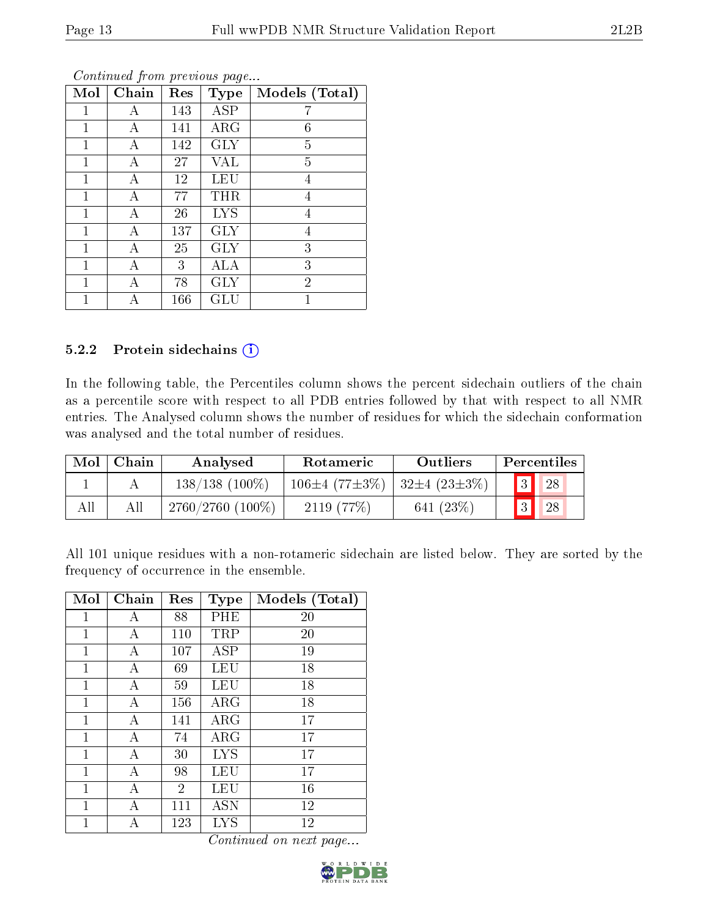| Mol          | Chain | Res | <b>Type</b>          | Models (Total) |
|--------------|-------|-----|----------------------|----------------|
| 1            | А     | 143 | <b>ASP</b>           |                |
| $\mathbf{1}$ | А     | 141 | ARG                  | 6              |
| 1            | А     | 142 | <b>GLY</b>           | 5              |
| $\mathbf{1}$ | Α     | 27  | <b>VAL</b>           | 5              |
| 1            | А     | 12  | <b>LEU</b>           | 4              |
| 1            | А     | 77  | THR                  | 4              |
| $\mathbf{1}$ | А     | 26  | <b>LYS</b>           | 4              |
| 1            | А     | 137 | <b>GLY</b>           | 4              |
| 1            | А     | 25  | <b>GLY</b>           | 3              |
| 1            | Α     | 3   | ALA                  | 3              |
| 1            | А     | 78  | <b>GLY</b>           | $\overline{2}$ |
| 1            | А     | 166 | $\operatorname{GLU}$ | 1              |

#### 5.2.2 Protein sidechains  $(i)$

In the following table, the Percentiles column shows the percent sidechain outliers of the chain as a percentile score with respect to all PDB entries followed by that with respect to all NMR entries. The Analysed column shows the number of residues for which the sidechain conformation was analysed and the total number of residues.

| Mol | Chain | Analysed            | Rotameric                                           | <b>Outliers</b> |                | Percentiles |  |
|-----|-------|---------------------|-----------------------------------------------------|-----------------|----------------|-------------|--|
|     |       | $138/138$ (100\%)   | $106\pm4$ (77 $\pm3\%$ )   32 $\pm4$ (23 $\pm3\%$ ) |                 | $\overline{3}$ | 28          |  |
|     |       | $2760/2760$ (100\%) | 2119(77%)                                           | 641 $(23%)$     | $\overline{3}$ | 28          |  |

All 101 unique residues with a non-rotameric sidechain are listed below. They are sorted by the frequency of occurrence in the ensemble.

| Mol         | Chain | $\operatorname{Res}% \left( \mathcal{N}\right) \equiv\operatorname{Res}(\mathcal{N}_{0})\cap\mathcal{N}_{1}$ | <b>Type</b>          | Models (Total) |
|-------------|-------|--------------------------------------------------------------------------------------------------------------|----------------------|----------------|
| 1           | А     | 88                                                                                                           | PHE                  | 20             |
| 1           | А     | 110                                                                                                          | TRP                  | 20             |
| 1           | А     | 107                                                                                                          | ASP                  | 19             |
| 1           | А     | 69                                                                                                           | LEU                  | 18             |
| 1           | А     | 59                                                                                                           | LEU                  | 18             |
| 1           | А     | 156                                                                                                          | $\rm{ARG}$           | 18             |
| 1           | А     | 141                                                                                                          | ARG                  | 17             |
| 1           | А     | 74                                                                                                           | $\rm{ARG}$           | 17             |
| 1           | А     | 30                                                                                                           | <b>LYS</b>           | 17             |
| 1           | А     | 98                                                                                                           | LEU                  | 17             |
| 1           | А     | $\overline{2}$                                                                                               | LEU                  | 16             |
| 1           | А     | 111                                                                                                          | $\operatorname{ASN}$ | 12             |
| $\mathbf 1$ | А     | 123                                                                                                          | LYS                  | 12             |

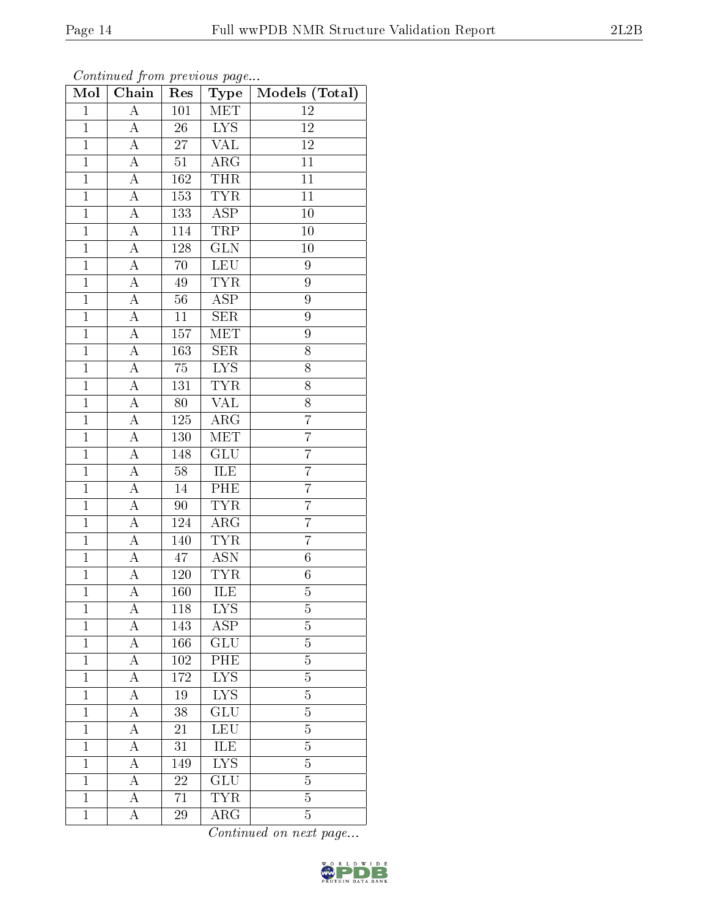| Mol            | Chain              | Res             | Type                    | Models (Total)  |
|----------------|--------------------|-----------------|-------------------------|-----------------|
| $\mathbf{1}$   | $\overline{A}$     | 101             | MET                     | 12              |
| $\overline{1}$ | $\overline{A}$     | 26              | $\overline{\text{LYS}}$ | 12              |
| $\overline{1}$ | $\overline{\rm A}$ | $\overline{27}$ | $\overline{\text{VAL}}$ | $\overline{12}$ |
| $\mathbf{1}$   | $\boldsymbol{A}$   | 51              | $\rm{ARG}$              | 11              |
| $\mathbf{1}$   | $\overline{A}$     | 162             | <b>THR</b>              | 11              |
| $\mathbf{1}$   | A                  | 153             | TYR                     | 11              |
| $\overline{1}$ | A                  | 133             | $\overline{\text{ASP}}$ | $\overline{1}0$ |
| $\mathbf{1}$   | А                  | 114             | <b>TRP</b>              | 10              |
| $\mathbf{1}$   | A                  | $128\,$         | $\overline{\text{GLN}}$ | 10              |
| $\mathbf{1}$   | A                  | 70              | <b>LEU</b>              | 9               |
| $\overline{1}$ | $\boldsymbol{A}$   | $\rm 49$        | <b>TYR</b>              | 9               |
| $\overline{1}$ | $\overline{A}$     | 56              | $\overline{\rm ASP}$    | 9               |
| $\mathbf{1}$   | А                  | 11              | <b>SER</b>              | 9               |
| $\mathbf{1}$   | A                  | 157             | MET                     | 9               |
| $\mathbf{1}$   | $\overline{\rm A}$ | 163             | SER                     | 8               |
| $\overline{1}$ | $\boldsymbol{A}$   | $\overline{7}5$ | $\overline{\text{LYS}}$ | 8               |
| $\mathbf{1}$   | $\overline{A}$     | 131             | <b>TYR</b>              | 8               |
| $\mathbf{1}$   | A                  | 80              | <b>VAL</b>              | 8               |
| $\mathbf{1}$   | $\overline{\rm A}$ | 125             | $\rm{ARG}$              | $\overline{7}$  |
| $\mathbf{1}$   | $\overline{\rm A}$ | 130             | <b>MET</b>              | 7               |
| $\mathbf{1}$   | $\overline{A}$     | 148             | <b>GLU</b>              | $\overline{7}$  |
| $\overline{1}$ | $\overline{A}$     | $\overline{58}$ | <b>ILE</b>              | $\overline{7}$  |
| $\mathbf{1}$   | $\rm A$            | 14              | $\overline{\text{PHE}}$ | $\overline{7}$  |
| $\overline{1}$ | $\overline{\rm A}$ | 90              | $\overline{\text{TYR}}$ | $\overline{7}$  |
| $\mathbf{1}$   | $\boldsymbol{A}$   | 124             | ARG                     | $\overline{7}$  |
| $\overline{1}$ | $\boldsymbol{A}$   | 140             | $\overline{\text{TYR}}$ | $\overline{7}$  |
| $\overline{1}$ | А                  | 47              | $\overline{\text{ASN}}$ | $\sqrt{6}$      |
| $\overline{1}$ | А                  | $120\,$         | <b>TYR</b>              | $6\phantom{.}$  |
| $\mathbf{1}$   | A                  | 160             | ILE                     | $\overline{5}$  |
| 1              | А                  | 118             | <b>LYS</b>              | 5               |
| $\mathbf{1}$   | А                  | 143             | ASP                     | $\overline{5}$  |
| $\mathbf{1}$   | А                  | 166             | GLU                     | 5               |
| $\mathbf 1$    | А                  | 102             | PHE                     | $\overline{5}$  |
| $\mathbf{1}$   | А                  | 172             | $\overline{\text{LYS}}$ | $\overline{5}$  |
| $\mathbf{1}$   | A                  | 19              | IYS                     | $\overline{5}$  |
| $\mathbf{1}$   | A                  | $38\,$          | GLU                     | 5               |
| $\mathbf{1}$   | $\overline{\rm A}$ | $21\,$          | LEU                     | $\overline{5}$  |
| $\mathbf{1}$   | А                  | 31              | ILE                     | 5               |
| $\mathbf{1}$   | A                  | 149             | $\overline{\text{LYS}}$ | $\overline{5}$  |
| $\mathbf{1}$   | $\boldsymbol{A}$   | 22              | GLU                     | 5               |
| $\mathbf{1}$   | A                  | 71              | <b>TYR</b>              | $\overline{5}$  |
| $\mathbf{1}$   | А                  | 29              | ${\rm ARG}$             | $\overline{5}$  |

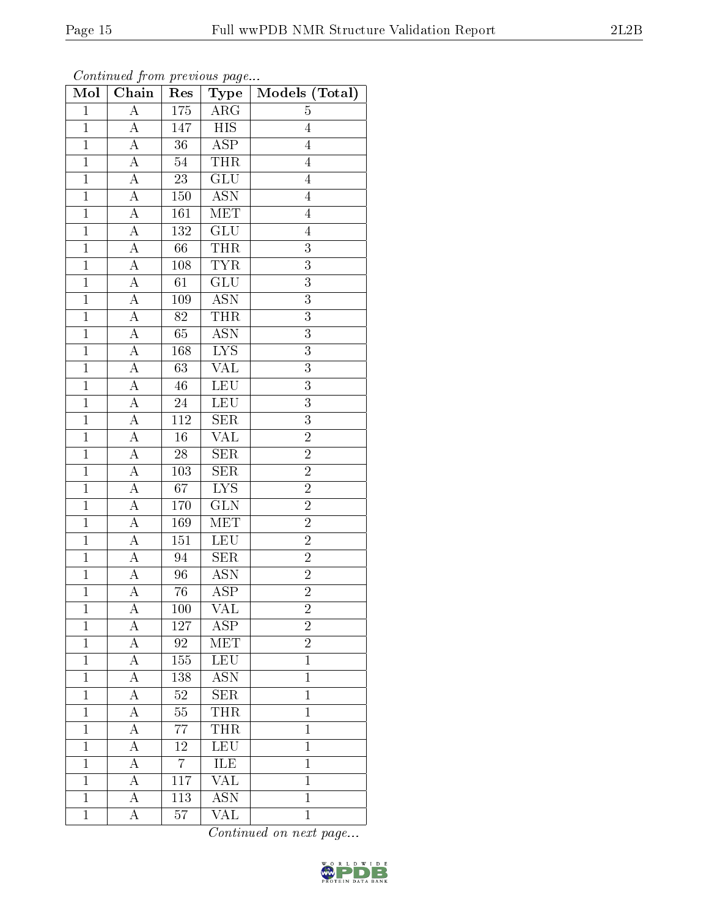| Mol            | Chain              | Res              | Type                      | Models (Total) |
|----------------|--------------------|------------------|---------------------------|----------------|
| $\overline{1}$ | $\overline{A}$     | $175\,$          | $\rm{ARG}$                | $\overline{5}$ |
| $\overline{1}$ | $\boldsymbol{A}$   | 147              | <b>HIS</b>                | $\overline{4}$ |
| $\overline{1}$ | $\overline{A}$     | $\overline{36}$  | $\overline{\text{ASP}}$   | $\overline{4}$ |
| $\mathbf{1}$   | A                  | 54               | <b>THR</b>                | $\overline{4}$ |
| $\mathbf{1}$   | $\overline{\rm A}$ | $\overline{23}$  | $\overline{\text{GLU}}$   | $\overline{4}$ |
| $\mathbf{1}$   | $\overline{\rm A}$ | 150              | <b>ASN</b>                | $\overline{4}$ |
| $\overline{1}$ | $\overline{\rm A}$ | 161              | $\overline{\text{MET}}$   | $\overline{4}$ |
| $\mathbf{1}$   | $\overline{A}$     | 132              | $\overline{\text{GLU}}$   | $\overline{4}$ |
| $\mathbf{1}$   | A                  | 66               | THR                       | $\overline{3}$ |
| $\mathbf{1}$   | $\overline{A}$     | 108              | <b>TYR</b>                | $\overline{3}$ |
| $\overline{1}$ | A                  | 61               | GLU                       | $\overline{3}$ |
| $\mathbf{1}$   | $\overline{\rm A}$ | 109              | $\overline{\mathrm{ASN}}$ | $\overline{3}$ |
| $\mathbf{1}$   | A                  | 82               | <b>THR</b>                | 3              |
| $\mathbf{1}$   | A                  | 65               | <b>ASN</b>                | $\overline{3}$ |
| $\mathbf{1}$   | А                  | 168              | $\overline{\text{LYS}}$   | 3              |
| $\mathbf{1}$   | $\boldsymbol{A}$   | 63               | VAL                       | $\overline{3}$ |
| $\mathbf{1}$   | A                  | 46               | LEU                       | $\overline{3}$ |
| $\mathbf{1}$   | А                  | $24\,$           | <b>LEU</b>                | $\overline{3}$ |
| $\mathbf{1}$   | А                  | 112              | <b>SER</b>                | 3              |
| $\overline{1}$ | $\overline{A}$     | $\overline{16}$  | $\overline{\text{VAL}}$   | $\overline{2}$ |
| $\mathbf{1}$   | $\boldsymbol{A}$   | 28               | <b>SER</b>                | $\overline{2}$ |
| $\overline{1}$ | $\overline{A}$     | $\overline{103}$ | $\overline{\text{SER}}$   | $\overline{2}$ |
| $\mathbf{1}$   | A                  | 67               | <b>LYS</b>                | $\overline{2}$ |
| $\mathbf{1}$   | $\overline{\rm A}$ | $1\,70$          | $\overline{\text{GLN}}$   | $\overline{2}$ |
| $\mathbf{1}$   | $\overline{\rm A}$ | 169              | MET                       | $\overline{2}$ |
| $\overline{1}$ | $\overline{\rm A}$ | 151              | <b>LEU</b>                | $\overline{2}$ |
| $\mathbf{1}$   | $\overline{A}$     | 94               | $\overline{\text{SER}}$   | $\overline{2}$ |
| $\mathbf{1}$   | A                  | 96               | <b>ASN</b>                | $\overline{2}$ |
| $\mathbf{1}$   | $\overline{A}$     | 76               | $\overline{\rm ASP}$      | $\overline{2}$ |
| $\mathbf{1}$   | А                  | 100              | VAL                       | $\overline{2}$ |
| $\overline{1}$ | A                  | 127              | $\overline{\text{ASP}}$   | $\overline{2}$ |
| $\mathbf{1}$   | А                  | 92               | <b>MET</b>                | $\overline{2}$ |
| $\mathbf{1}$   | А                  | 155              | <b>LEU</b>                | $\mathbf{1}$   |
| $\mathbf{1}$   | А                  | 138              | $\overline{\text{ASN}}$   | $\mathbf{1}$   |
| $\mathbf{1}$   | А                  | $52\,$           | <b>SER</b>                | $\mathbf{1}$   |
| $\mathbf{1}$   | А                  | $55\,$           | <b>THR</b>                | $\mathbf 1$    |
| $\mathbf{1}$   | А                  | $77\,$           | <b>THR</b>                | $\mathbf{1}$   |
| $\mathbf{1}$   | А                  | 12               | LEU                       | $\mathbf{1}$   |
| $\mathbf{1}$   | А                  | $\overline{7}$   | ILE                       | $\mathbf{1}$   |
| $\mathbf{1}$   | А                  | 117              | VAL                       | $\mathbf{1}$   |
| $\overline{1}$ | $\overline{\rm A}$ | $\overline{113}$ | $\overline{\text{ASN}}$   | $\overline{1}$ |
| $\mathbf{1}$   | A                  | 57               | VAL                       | $\mathbf{1}$   |

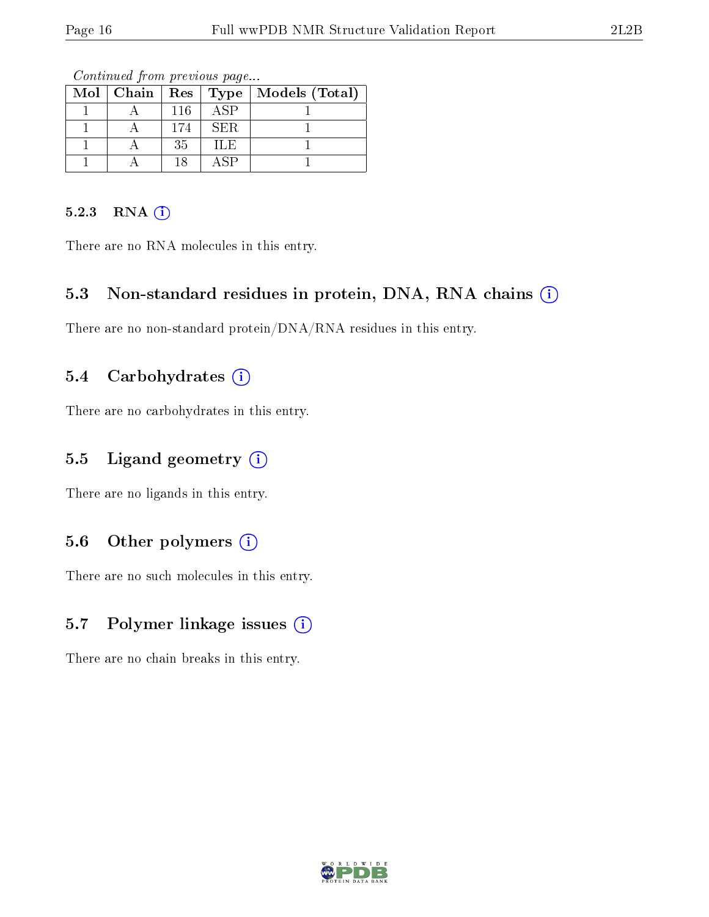|  |     |      | Mol   Chain   Res   Type   Models (Total) |
|--|-----|------|-------------------------------------------|
|  | 116 | ASP  |                                           |
|  | 174 | SER. |                                           |
|  | 35  | ILE  |                                           |
|  | 18  | . SP |                                           |

Continued from previous page...

#### 5.2.3 RNA (i)

There are no RNA molecules in this entry.

# 5.3 Non-standard residues in protein, DNA, RNA chains (i)

There are no non-standard protein/DNA/RNA residues in this entry.

# 5.4 Carbohydrates  $(i)$

There are no carbohydrates in this entry.

# 5.5 Ligand geometry  $(i)$

There are no ligands in this entry.

# 5.6 [O](https://www.wwpdb.org/validation/2017/NMRValidationReportHelp#nonstandard_residues_and_ligands)ther polymers  $(i)$

There are no such molecules in this entry.

# 5.7 Polymer linkage issues (i)

There are no chain breaks in this entry.